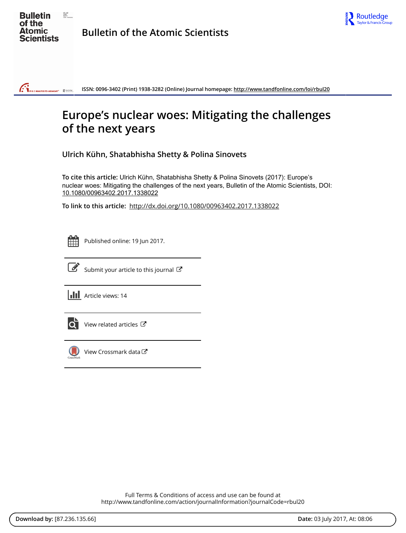



**ISSN: 0096-3402 (Print) 1938-3282 (Online) Journal homepage:<http://www.tandfonline.com/loi/rbul20>**  $ar^*$  Reserving

# **Europe's nuclear woes: Mitigating the challenges of the next years**

**Ulrich Kühn, Shatabhisha Shetty & Polina Sinovets**

**To cite this article:** Ulrich Kühn, Shatabhisha Shetty & Polina Sinovets (2017): Europe's nuclear woes: Mitigating the challenges of the next years, Bulletin of the Atomic Scientists, DOI: [10.1080/00963402.2017.1338022](http://www.tandfonline.com/action/showCitFormats?doi=10.1080/00963402.2017.1338022)

**To link to this article:** <http://dx.doi.org/10.1080/00963402.2017.1338022>

|  | - |  |
|--|---|--|
|  |   |  |
|  |   |  |
|  |   |  |

 $\mathbb{G}_{\mathbb{Z}}$ 

Published online: 19 Jun 2017.



 $\overrightarrow{S}$  [Submit your article to this journal](http://www.tandfonline.com/action/authorSubmission?journalCode=rbul20&show=instructions)  $\overrightarrow{S}$ 

**III** Article views: 14



 $\overline{Q}$  [View related articles](http://www.tandfonline.com/doi/mlt/10.1080/00963402.2017.1338022)  $\overline{C}$ 



[View Crossmark data](http://crossmark.crossref.org/dialog/?doi=10.1080/00963402.2017.1338022&domain=pdf&date_stamp=2017-06-19)  $\sigma$ 

Full Terms & Conditions of access and use can be found at <http://www.tandfonline.com/action/journalInformation?journalCode=rbul20>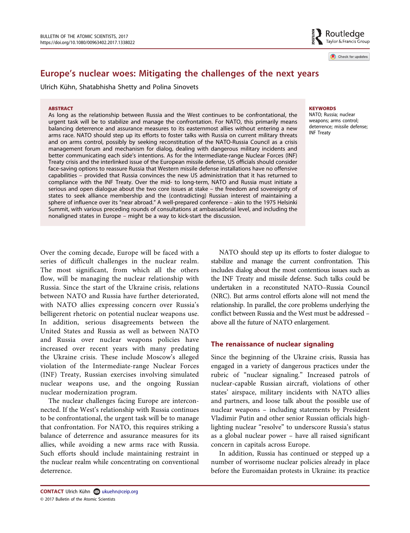Check for updates

# Europe's nuclear woes: Mitigating the challenges of the next years

Ulrich Kühn, Shatabhisha Shetty and Polina Sinovets

#### **ABSTRACT**

As long as the relationship between Russia and the West continues to be confrontational, the urgent task will be to stabilize and manage the confrontation. For NATO, this primarily means balancing deterrence and assurance measures to its easternmost allies without entering a new arms race. NATO should step up its efforts to foster talks with Russia on current military threats and on arms control, possibly by seeking reconstitution of the NATO-Russia Council as a crisis management forum and mechanism for dialog, dealing with dangerous military incidents and better communicating each side's intentions. As for the Intermediate-range Nuclear Forces (INF) Treaty crisis and the interlinked issue of the European missile defense, US officials should consider face-saving options to reassure Russia that Western missile defense installations have no offensive capabilities – provided that Russia convinces the new US administration that it has returned to compliance with the INF Treaty. Over the mid- to long-term, NATO and Russia must initiate a serious and open dialogue about the two core issues at stake – the freedom and sovereignty of states to seek alliance membership and the (contradicting) Russian interest of maintaining a sphere of influence over its "near abroad." A well-prepared conference – akin to the 1975 Helsinki Summit, with various preceding rounds of consultations at ambassadorial level, and including the nonaligned states in Europe – might be a way to kick-start the discussion.

#### **KEYWORDS**

NATO; Russia; nuclear weapons; arms control; deterrence; missile defense; INF Treaty

Over the coming decade, Europe will be faced with a series of difficult challenges in the nuclear realm. The most significant, from which all the others flow, will be managing the nuclear relationship with Russia. Since the start of the Ukraine crisis, relations between NATO and Russia have further deteriorated, with NATO allies expressing concern over Russia's belligerent rhetoric on potential nuclear weapons use. In addition, serious disagreements between the United States and Russia as well as between NATO and Russia over nuclear weapons policies have increased over recent years with many predating the Ukraine crisis. These include Moscow's alleged violation of the Intermediate-range Nuclear Forces (INF) Treaty, Russian exercises involving simulated nuclear weapons use, and the ongoing Russian nuclear modernization program.

The nuclear challenges facing Europe are interconnected. If the West's relationship with Russia continues to be confrontational, the urgent task will be to manage that confrontation. For NATO, this requires striking a balance of deterrence and assurance measures for its allies, while avoiding a new arms race with Russia. Such efforts should include maintaining restraint in the nuclear realm while concentrating on conventional deterrence.

NATO should step up its efforts to foster dialogue to stabilize and manage the current confrontation. This includes dialog about the most contentious issues such as the INF Treaty and missile defense. Such talks could be undertaken in a reconstituted NATO–Russia Council (NRC). But arms control efforts alone will not mend the relationship. In parallel, the core problems underlying the conflict between Russia and the West must be addressed – above all the future of NATO enlargement.

## The renaissance of nuclear signaling

Since the beginning of the Ukraine crisis, Russia has engaged in a variety of dangerous practices under the rubric of "nuclear signaling." Increased patrols of nuclear-capable Russian aircraft, violations of other states' airspace, military incidents with NATO allies and partners, and loose talk about the possible use of nuclear weapons – including statements by President Vladimir Putin and other senior Russian officials highlighting nuclear "resolve" to underscore Russia's status as a global nuclear power – have all raised significant concern in capitals across Europe.

In addition, Russia has continued or stepped up a number of worrisome nuclear policies already in place before the Euromaidan protests in Ukraine: its practice

CONTACT Ulrich Kühn 2 ukuehn@ceip.org © 2017 Bulletin of the Atomic Scientists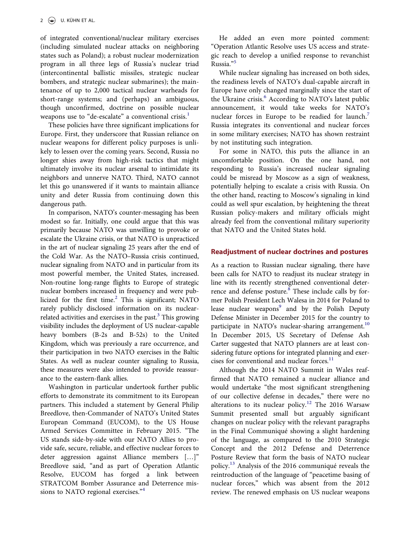of integrated conventional/nuclear military exercises (including simulated nuclear attacks on neighboring states such as Poland); a robust nuclear modernization program in all three legs of Russia's nuclear triad (intercontinental ballistic missiles, strategic nuclear bombers, and strategic nuclear submarines); the maintenance of up to 2,000 tactical nuclear warheads for short-range systems; and (perhaps) an ambiguous, though unconfirmed, doctrine on possible nuclear weapons use to "de-escalate" a conventional crisis.<sup>[1](#page-8-0)</sup>

These policies have three significant implications for Europe. First, they underscore that Russian reliance on nuclear weapons for different policy purposes is unlikely to lessen over the coming years. Second, Russia no longer shies away from high-risk tactics that might ultimately involve its nuclear arsenal to intimidate its neighbors and unnerve NATO. Third, NATO cannot let this go unanswered if it wants to maintain alliance unity and deter Russia from continuing down this dangerous path.

In comparison, NATO's counter-messaging has been modest so far. Initially, one could argue that this was primarily because NATO was unwilling to provoke or escalate the Ukraine crisis, or that NATO is unpracticed in the art of nuclear signaling 25 years after the end of the Cold War. As the NATO–Russia crisis continued, nuclear signaling from NATO and in particular from its most powerful member, the United States, increased. Non-routine long-range flights to Europe of strategic nuclear bombers increased in frequency and were publicized for the first time. $^{2}$  This is significant; NATO rarely publicly disclosed information on its nuclearrelated activities and exercises in the past. $3$  This growing visibility includes the deployment of US nuclear-capable heavy bombers (B-2s and B-52s) to the United Kingdom, which was previously a rare occurrence, and their participation in two NATO exercises in the Baltic States. As well as nuclear counter signaling to Russia, these measures were also intended to provide reassurance to the eastern-flank allies.

Washington in particular undertook further public efforts to demonstrate its commitment to its European partners. This included a statement by General Philip Breedlove, then-Commander of NATO's United States European Command (EUCOM), to the US House Armed Services Committee in February 2015. "The US stands side-by-side with our NATO Allies to provide safe, secure, reliable, and effective nuclear forces to deter aggression against Alliance members […]" Breedlove said, "and as part of Operation Atlantic Resolve, EUCOM has forged a link between STRATCOM Bomber Assurance and Deterrence mis-sions to NATO regional exercises."<sup>[4](#page-8-3)</sup>

He added an even more pointed comment: "Operation Atlantic Resolve uses US access and strategic reach to develop a unified response to revanchist Russia." [5](#page-8-4)

While nuclear signaling has increased on both sides, the readiness levels of NATO's dual-capable aircraft in Europe have only changed marginally since the start of the Ukraine crisis.<sup>[6](#page-8-5)</sup> According to NATO's latest public announcement, it would take weeks for NATO's nuclear forces in Europe to be readied for launch.<sup>[7](#page-8-6)</sup> Russia integrates its conventional and nuclear forces in some military exercises; NATO has shown restraint by not instituting such integration.

For some in NATO, this puts the alliance in an uncomfortable position. On the one hand, not responding to Russia's increased nuclear signaling could be misread by Moscow as a sign of weakness, potentially helping to escalate a crisis with Russia. On the other hand, reacting to Moscow's signaling in kind could as well spur escalation, by heightening the threat Russian policy-makers and military officials might already feel from the conventional military superiority that NATO and the United States hold.

## Readjustment of nuclear doctrines and postures

As a reaction to Russian nuclear signaling, there have been calls for NATO to readjust its nuclear strategy in line with its recently strengthened conventional deterrence and defense posture. $8$  These include calls by former Polish President Lech Walesa in 2014 for Poland to lease nuclear weapons<sup>9</sup> and by the Polish Deputy Defense Minister in December 2015 for the country to participate in NATO's nuclear-sharing arrangement.<sup>10</sup> In December 2015, US Secretary of Defense Ash Carter suggested that NATO planners are at least considering future options for integrated planning and exer-cises for conventional and nuclear forces.<sup>[11](#page-8-10)</sup>

Although the 2014 NATO Summit in Wales reaffirmed that NATO remained a nuclear alliance and would undertake "the most significant strengthening of our collective defense in decades," there were no alterations to its nuclear policy.<sup>[12](#page-8-11)</sup> The 2016 Warsaw Summit presented small but arguably significant changes on nuclear policy with the relevant paragraphs in the Final Communiqué showing a slight hardening of the language, as compared to the 2010 Strategic Concept and the 2012 Defense and Deterrence Posture Review that form the basis of NATO nuclear policy.[13](#page-8-12) Analysis of the 2016 communiqué reveals the reintroduction of the language of "peacetime basing of nuclear forces," which was absent from the 2012 review. The renewed emphasis on US nuclear weapons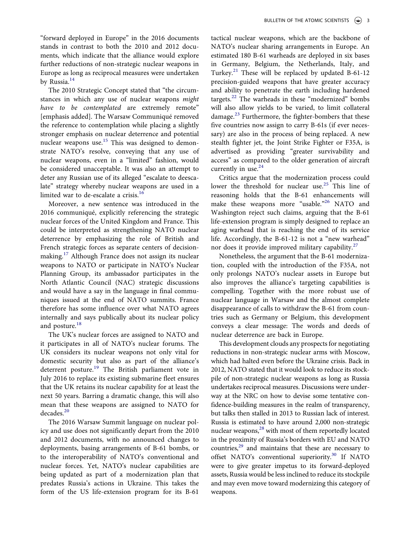The 2010 Strategic Concept stated that "the circumstances in which any use of nuclear weapons might have to be contemplated are extremely remote" [emphasis added]. The Warsaw Communiqué removed the reference to contemplation while placing a slightly stronger emphasis on nuclear deterrence and potential nuclear weapons use.<sup>[15](#page-8-14)</sup> This was designed to demonstrate NATO's resolve, conveying that any use of nuclear weapons, even in a "limited" fashion, would be considered unacceptable. It was also an attempt to deter any Russian use of its alleged "escalate to deescalate" strategy whereby nuclear weapons are used in a limited war to de-escalate a crisis.<sup>[16](#page-8-15)</sup>

Moreover, a new sentence was introduced in the 2016 communiqué, explicitly referencing the strategic nuclear forces of the United Kingdom and France. This could be interpreted as strengthening NATO nuclear deterrence by emphasizing the role of British and French strategic forces as separate centers of decision-making.<sup>[17](#page-8-16)</sup> Although France does not assign its nuclear weapons to NATO or participate in NATO's Nuclear Planning Group, its ambassador participates in the North Atlantic Council (NAC) strategic discussions and would have a say in the language in final communiques issued at the end of NATO summits. France therefore has some influence over what NATO agrees internally and says publically about its nuclear policy and posture.<sup>[18](#page-9-0)</sup>

The UK's nuclear forces are assigned to NATO and it participates in all of NATO's nuclear forums. The UK considers its nuclear weapons not only vital for domestic security but also as part of the alliance's deterrent posture.<sup>[19](#page-9-1)</sup> The British parliament vote in July 2016 to replace its existing submarine fleet ensures that the UK retains its nuclear capability for at least the next 50 years. Barring a dramatic change, this will also mean that these weapons are assigned to NATO for decades.<sup>[20](#page-9-2)</sup>

The 2016 Warsaw Summit language on nuclear policy and use does not significantly depart from the 2010 and 2012 documents, with no announced changes to deployments, basing arrangements of B-61 bombs, or to the interoperability of NATO's conventional and nuclear forces. Yet, NATO's nuclear capabilities are being updated as part of a modernization plan that predates Russia's actions in Ukraine. This takes the form of the US life-extension program for its B-61

tactical nuclear weapons, which are the backbone of NATO's nuclear sharing arrangements in Europe. An estimated 180 B-61 warheads are deployed in six bases in Germany, Belgium, the Netherlands, Italy, and Turkey.<sup>[21](#page-9-3)</sup> These will be replaced by updated B-61-12 precision-guided weapons that have greater accuracy and ability to penetrate the earth including hardened targets. $22$  The warheads in these "modernized" bombs will also allow yields to be varied, to limit collateral damage.<sup>[23](#page-9-5)</sup> Furthermore, the fighter-bombers that these five countries now assign to carry B-61s (if ever necessary) are also in the process of being replaced. A new stealth fighter jet, the Joint Strike Fighter or F35A, is advertised as providing "greater survivability and access" as compared to the older generation of aircraft currently in use. $24$ 

Critics argue that the modernization process could lower the threshold for nuclear use.<sup>[25](#page-9-7)</sup> This line of reasoning holds that the B-61 enhancements will make these weapons more "usable."<sup>[26](#page-9-8)</sup> NATO and Washington reject such claims, arguing that the B-61 life-extension program is simply designed to replace an aging warhead that is reaching the end of its service life. Accordingly, the B-61-12 is not a "new warhead" nor does it provide improved military capability.<sup>[27](#page-9-9)</sup>

Nonetheless, the argument that the B-61 modernization, coupled with the introduction of the F35A, not only prolongs NATO's nuclear assets in Europe but also improves the alliance's targeting capabilities is compelling. Together with the more robust use of nuclear language in Warsaw and the almost complete disappearance of calls to withdraw the B-61 from countries such as Germany or Belgium, this development conveys a clear message: The words and deeds of nuclear deterrence are back in Europe.

This development clouds any prospects for negotiating reductions in non-strategic nuclear arms with Moscow, which had halted even before the Ukraine crisis. Back in 2012, NATO stated that it would look to reduce its stockpile of non-strategic nuclear weapons as long as Russia undertakes reciprocal measures. Discussions were underway at the NRC on how to devise some tentative confidence-building measures in the realm of transparency, but talks then stalled in 2013 to Russian lack of interest. Russia is estimated to have around 2,000 non-strategic nuclear weapons,<sup>28</sup> with most of them reportedly located in the proximity of Russia's borders with EU and NATO countries,<sup>29</sup> and maintains that these are necessary to offset NATO's conventional superiority.[30](#page-9-12) If NATO were to give greater impetus to its forward-deployed assets, Russia would be less inclined to reduce its stockpile and may even move toward modernizing this category of weapons.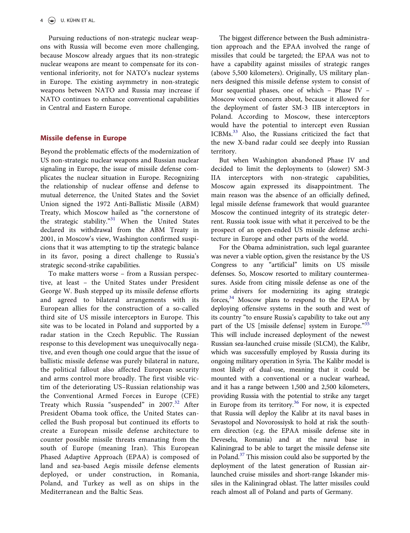Pursuing reductions of non-strategic nuclear weapons with Russia will become even more challenging, because Moscow already argues that its non-strategic nuclear weapons are meant to compensate for its conventional inferiority, not for NATO's nuclear systems in Europe. The existing asymmetry in non-strategic weapons between NATO and Russia may increase if NATO continues to enhance conventional capabilities in Central and Eastern Europe.

#### Missile defense in Europe

Beyond the problematic effects of the modernization of US non-strategic nuclear weapons and Russian nuclear signaling in Europe, the issue of missile defense complicates the nuclear situation in Europe. Recognizing the relationship of nuclear offense and defense to mutual deterrence, the United States and the Soviet Union signed the 1972 Anti-Ballistic Missile (ABM) Treaty, which Moscow hailed as "the cornerstone of the strategic stability."<sup>[31](#page-9-13)</sup> When the United States declared its withdrawal from the ABM Treaty in 2001, in Moscow's view, Washington confirmed suspicions that it was attempting to tip the strategic balance in its favor, posing a direct challenge to Russia's strategic second-strike capabilities.

To make matters worse – from a Russian perspective, at least – the United States under President George W. Bush stepped up its missile defense efforts and agreed to bilateral arrangements with its European allies for the construction of a so-called third site of US missile interceptors in Europe. This site was to be located in Poland and supported by a radar station in the Czech Republic. The Russian response to this development was unequivocally negative, and even though one could argue that the issue of ballistic missile defense was purely bilateral in nature, the political fallout also affected European security and arms control more broadly. The first visible victim of the deteriorating US–Russian relationship was the Conventional Armed Forces in Europe (CFE) Treaty which Russia "suspended" in 2007.<sup>[32](#page-9-14)</sup> After President Obama took office, the United States cancelled the Bush proposal but continued its efforts to create a European missile defense architecture to counter possible missile threats emanating from the south of Europe (meaning Iran). This European Phased Adaptive Approach (EPAA) is composed of land and sea-based Aegis missile defense elements deployed, or under construction, in Romania, Poland, and Turkey as well as on ships in the Mediterranean and the Baltic Seas.

The biggest difference between the Bush administration approach and the EPAA involved the range of missiles that could be targeted; the EPAA was not to have a capability against missiles of strategic ranges (above 5,500 kilometers). Originally, US military planners designed this missile defense system to consist of four sequential phases, one of which – Phase IV – Moscow voiced concern about, because it allowed for the deployment of faster SM-3 IIB interceptors in Poland. According to Moscow, these interceptors would have the potential to intercept even Russian ICBMs[.33](#page-9-15) Also, the Russians criticized the fact that the new X-band radar could see deeply into Russian territory.

But when Washington abandoned Phase IV and decided to limit the deployments to (slower) SM-3 IIA interceptors with non-strategic capabilities, Moscow again expressed its disappointment. The main reason was the absence of an officially defined, legal missile defense framework that would guarantee Moscow the continued integrity of its strategic deterrent. Russia took issue with what it perceived to be the prospect of an open-ended US missile defense architecture in Europe and other parts of the world.

For the Obama administration, such legal guarantee was never a viable option, given the resistance by the US Congress to any "artificial" limits on US missile defenses. So, Moscow resorted to military countermeasures. Aside from citing missile defense as one of the prime drivers for modernizing its aging strategic forces, $34$  Moscow plans to respond to the EPAA by deploying offensive systems in the south and west of its country "to ensure Russia's capability to take out any part of the US [missile defense] system in Europe."[35](#page-9-17) This will include increased deployment of the newest Russian sea-launched cruise missile (SLCM), the Kalibr, which was successfully employed by Russia during its ongoing military operation in Syria. The Kalibr model is most likely of dual-use, meaning that it could be mounted with a conventional or a nuclear warhead, and it has a range between 1,500 and 2,500 kilometers, providing Russia with the potential to strike any target in Europe from its territory. $36$  For now, it is expected that Russia will deploy the Kalibr at its naval bases in Sevastopol and Novorossiysk to hold at risk the southern direction (e.g. the EPAA missile defense site in Deveselu, Romania) and at the naval base in Kaliningrad to be able to target the missile defense site in Poland.<sup>37</sup> This mission could also be supported by the deployment of the latest generation of Russian airlaunched cruise missiles and short-range Iskander missiles in the Kaliningrad oblast. The latter missiles could reach almost all of Poland and parts of Germany.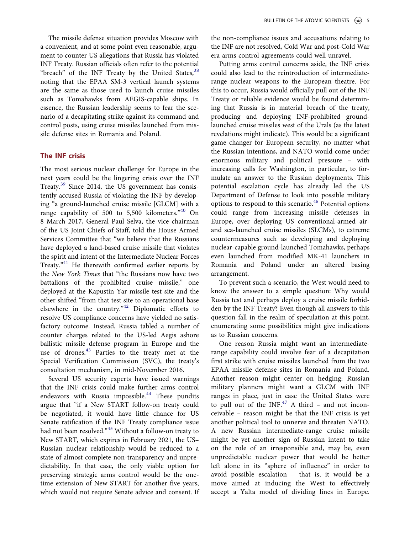The missile defense situation provides Moscow with a convenient, and at some point even reasonable, argument to counter US allegations that Russia has violated INF Treaty. Russian officials often refer to the potential "breach" of the INF Treaty by the United States,  $38$ noting that the EPAA SM-3 vertical launch systems are the same as those used to launch cruise missiles such as Tomahawks from AEGIS-capable ships. In essence, the Russian leadership seems to fear the scenario of a decapitating strike against its command and control posts, using cruise missiles launched from missile defense sites in Romania and Poland.

#### The INF crisis

The most serious nuclear challenge for Europe in the next years could be the lingering crisis over the INF Treaty.[39](#page-10-1) Since 2014, the US government has consistently accused Russia of violating the INF by developing "a ground-launched cruise missile [GLCM] with a range capability of 500 to 5,500 kilometers."<sup>[40](#page-10-2)</sup> On 8 March 2017, General Paul Selva, the vice chairman of the US Joint Chiefs of Staff, told the House Armed Services Committee that "we believe that the Russians have deployed a land-based cruise missile that violates the spirit and intent of the Intermediate Nuclear Forces Treaty."<sup>[41](#page-10-3)</sup> He therewith confirmed earlier reports by the New York Times that "the Russians now have two battalions of the prohibited cruise missile," one deployed at the Kapustin Yar missile test site and the other shifted "from that test site to an operational base elsewhere in the country."<sup>[42](#page-10-4)</sup> Diplomatic efforts to resolve US compliance concerns have yielded no satisfactory outcome. Instead, Russia tabled a number of counter charges related to the US-led Aegis ashore ballistic missile defense program in Europe and the use of drones.<sup>[43](#page-10-5)</sup> Parties to the treaty met at the Special Verification Commission (SVC), the treaty's consultation mechanism, in mid-November 2016.

Several US security experts have issued warnings that the INF crisis could make further arms control endeavors with Russia impossible.<sup>[44](#page-10-6)</sup> These pundits argue that "if a New START follow-on treaty could be negotiated, it would have little chance for US Senate ratification if the INF Treaty compliance issue had not been resolved."<sup>[45](#page-10-7)</sup> Without a follow-on treaty to New START, which expires in February 2021, the US– Russian nuclear relationship would be reduced to a state of almost complete non-transparency and unpredictability. In that case, the only viable option for preserving strategic arms control would be the onetime extension of New START for another five years, which would not require Senate advice and consent. If the non-compliance issues and accusations relating to the INF are not resolved, Cold War and post-Cold War era arms control agreements could well unravel.

Putting arms control concerns aside, the INF crisis could also lead to the reintroduction of intermediaterange nuclear weapons to the European theatre. For this to occur, Russia would officially pull out of the INF Treaty or reliable evidence would be found determining that Russia is in material breach of the treaty, producing and deploying INF-prohibited groundlaunched cruise missiles west of the Urals (as the latest revelations might indicate). This would be a significant game changer for European security, no matter what the Russian intentions, and NATO would come under enormous military and political pressure – with increasing calls for Washington, in particular, to formulate an answer to the Russian deployments. This potential escalation cycle has already led the US Department of Defense to look into possible military options to respond to this scenario.<sup>[46](#page-10-8)</sup> Potential options could range from increasing missile defenses in Europe, over deploying US conventional-armed airand sea-launched cruise missiles (SLCMs), to extreme countermeasures such as developing and deploying nuclear-capable ground-launched Tomahawks, perhaps even launched from modified MK-41 launchers in Romania and Poland under an altered basing arrangement.

To prevent such a scenario, the West would need to know the answer to a simple question: Why would Russia test and perhaps deploy a cruise missile forbidden by the INF Treaty? Even though all answers to this question fall in the realm of speculation at this point, enumerating some possibilities might give indications as to Russian concerns.

One reason Russia might want an intermediaterange capability could involve fear of a decapitation first strike with cruise missiles launched from the two EPAA missile defense sites in Romania and Poland. Another reason might center on hedging: Russian military planners might want a GLCM with INF ranges in place, just in case the United States were to pull out of the  $INF<sup>47</sup>$  $INF<sup>47</sup>$  $INF<sup>47</sup>$  A third – and not inconceivable – reason might be that the INF crisis is yet another political tool to unnerve and threaten NATO. A new Russian intermediate-range cruise missile might be yet another sign of Russian intent to take on the role of an irresponsible and, may be, even unpredictable nuclear power that would be better left alone in its "sphere of influence" in order to avoid possible escalation – that is, it would be a move aimed at inducing the West to effectively accept a Yalta model of dividing lines in Europe.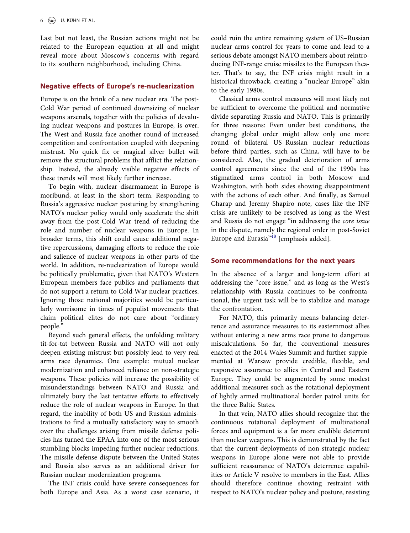Last but not least, the Russian actions might not be related to the European equation at all and might reveal more about Moscow's concerns with regard to its southern neighborhood, including China.

#### Negative effects of Europe's re-nuclearization

Europe is on the brink of a new nuclear era. The post-Cold War period of continued downsizing of nuclear weapons arsenals, together with the policies of devaluing nuclear weapons and postures in Europe, is over. The West and Russia face another round of increased competition and confrontation coupled with deepening mistrust. No quick fix or magical silver bullet will remove the structural problems that afflict the relationship. Instead, the already visible negative effects of these trends will most likely further increase.

To begin with, nuclear disarmament in Europe is moribund, at least in the short term. Responding to Russia's aggressive nuclear posturing by strengthening NATO's nuclear policy would only accelerate the shift away from the post-Cold War trend of reducing the role and number of nuclear weapons in Europe. In broader terms, this shift could cause additional negative repercussions, damaging efforts to reduce the role and salience of nuclear weapons in other parts of the world. In addition, re-nuclearization of Europe would be politically problematic, given that NATO's Western European members face publics and parliaments that do not support a return to Cold War nuclear practices. Ignoring those national majorities would be particularly worrisome in times of populist movements that claim political elites do not care about "ordinary people."

Beyond such general effects, the unfolding military tit-for-tat between Russia and NATO will not only deepen existing mistrust but possibly lead to very real arms race dynamics. One example: mutual nuclear modernization and enhanced reliance on non-strategic weapons. These policies will increase the possibility of misunderstandings between NATO and Russia and ultimately bury the last tentative efforts to effectively reduce the role of nuclear weapons in Europe. In that regard, the inability of both US and Russian administrations to find a mutually satisfactory way to smooth over the challenges arising from missile defense policies has turned the EPAA into one of the most serious stumbling blocks impeding further nuclear reductions. The missile defense dispute between the United States and Russia also serves as an additional driver for Russian nuclear modernization programs.

The INF crisis could have severe consequences for both Europe and Asia. As a worst case scenario, it could ruin the entire remaining system of US–Russian nuclear arms control for years to come and lead to a serious debate amongst NATO members about reintroducing INF-range cruise missiles to the European theater. That's to say, the INF crisis might result in a historical throwback, creating a "nuclear Europe" akin to the early 1980s.

Classical arms control measures will most likely not be sufficient to overcome the political and normative divide separating Russia and NATO. This is primarily for three reasons: Even under best conditions, the changing global order might allow only one more round of bilateral US–Russian nuclear reductions before third parties, such as China, will have to be considered. Also, the gradual deterioration of arms control agreements since the end of the 1990s has stigmatized arms control in both Moscow and Washington, with both sides showing disappointment with the actions of each other. And finally, as Samuel Charap and Jeremy Shapiro note, cases like the INF crisis are unlikely to be resolved as long as the West and Russia do not engage "in addressing the core issue in the dispute, namely the regional order in post-Soviet Europe and Eurasia"<sup>[48](#page-10-10)</sup> [emphasis added].

#### Some recommendations for the next years

In the absence of a larger and long-term effort at addressing the "core issue," and as long as the West's relationship with Russia continues to be confrontational, the urgent task will be to stabilize and manage the confrontation.

For NATO, this primarily means balancing deterrence and assurance measures to its easternmost allies without entering a new arms race prone to dangerous miscalculations. So far, the conventional measures enacted at the 2014 Wales Summit and further supplemented at Warsaw provide credible, flexible, and responsive assurance to allies in Central and Eastern Europe. They could be augmented by some modest additional measures such as the rotational deployment of lightly armed multinational border patrol units for the three Baltic States.

In that vein, NATO allies should recognize that the continuous rotational deployment of multinational forces and equipment is a far more credible deterrent than nuclear weapons. This is demonstrated by the fact that the current deployments of non-strategic nuclear weapons in Europe alone were not able to provide sufficient reassurance of NATO's deterrence capabilities or Article V resolve to members in the East. Allies should therefore continue showing restraint with respect to NATO's nuclear policy and posture, resisting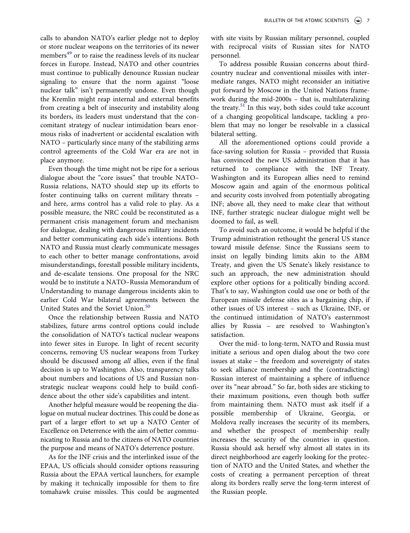calls to abandon NATO's earlier pledge not to deploy or store nuclear weapons on the territories of its newer members<sup>[49](#page-10-11)</sup> or to raise the readiness levels of its nuclear forces in Europe. Instead, NATO and other countries must continue to publically denounce Russian nuclear signaling to ensure that the norm against "loose nuclear talk" isn't permanently undone. Even though the Kremlin might reap internal and external benefits from creating a belt of insecurity and instability along its borders, its leaders must understand that the concomitant strategy of nuclear intimidation bears enormous risks of inadvertent or accidental escalation with NATO – particularly since many of the stabilizing arms control agreements of the Cold War era are not in place anymore.

Even though the time might not be ripe for a serious dialogue about the "core issues" that trouble NATO– Russia relations, NATO should step up its efforts to foster continuing talks on current military threats – and here, arms control has a valid role to play. As a possible measure, the NRC could be reconstituted as a permanent crisis management forum and mechanism for dialogue, dealing with dangerous military incidents and better communicating each side's intentions. Both NATO and Russia must clearly communicate messages to each other to better manage confrontations, avoid misunderstandings, forestall possible military incidents, and de-escalate tensions. One proposal for the NRC would be to institute a NATO–Russia Memorandum of Understanding to manage dangerous incidents akin to earlier Cold War bilateral agreements between the United States and the Soviet Union.<sup>[50](#page-10-12)</sup>

Once the relationship between Russia and NATO stabilizes, future arms control options could include the consolidation of NATO's tactical nuclear weapons into fewer sites in Europe. In light of recent security concerns, removing US nuclear weapons from Turkey should be discussed among all allies, even if the final decision is up to Washington. Also, transparency talks about numbers and locations of US and Russian nonstrategic nuclear weapons could help to build confidence about the other side's capabilities and intent.

Another helpful measure would be reopening the dialogue on mutual nuclear doctrines. This could be done as part of a larger effort to set up a NATO Center of Excellence on Deterrence with the aim of better communicating to Russia and to the citizens of NATO countries the purpose and means of NATO's deterrence posture.

As for the INF crisis and the interlinked issue of the EPAA, US officials should consider options reassuring Russia about the EPAA vertical launchers, for example by making it technically impossible for them to fire tomahawk cruise missiles. This could be augmented with site visits by Russian military personnel, coupled with reciprocal visits of Russian sites for NATO personnel.

To address possible Russian concerns about thirdcountry nuclear and conventional missiles with intermediate ranges, NATO might reconsider an initiative put forward by Moscow in the United Nations framework during the mid-2000s – that is, multilateralizing the treaty. $51$  In this way, both sides could take account of a changing geopolitical landscape, tackling a problem that may no longer be resolvable in a classical bilateral setting.

All the aforementioned options could provide a face-saving solution for Russia – provided that Russia has convinced the new US administration that it has returned to compliance with the INF Treaty. Washington and its European allies need to remind Moscow again and again of the enormous political and security costs involved from potentially abrogating INF; above all, they need to make clear that without INF, further strategic nuclear dialogue might well be doomed to fail, as well.

To avoid such an outcome, it would be helpful if the Trump administration rethought the general US stance toward missile defense. Since the Russians seem to insist on legally binding limits akin to the ABM Treaty, and given the US Senate's likely resistance to such an approach, the new administration should explore other options for a politically binding accord. That's to say, Washington could use one or both of the European missile defense sites as a bargaining chip, if other issues of US interest – such as Ukraine, INF, or the continued intimidation of NATO's easternmost allies by Russia – are resolved to Washington's satisfaction.

Over the mid- to long-term, NATO and Russia must initiate a serious and open dialog about the two core issues at stake – the freedom and sovereignty of states to seek alliance membership and the (contradicting) Russian interest of maintaining a sphere of influence over its "near abroad." So far, both sides are sticking to their maximum positions, even though both suffer from maintaining them. NATO must ask itself if a possible membership of Ukraine, Georgia, or Moldova really increases the security of its members, and whether the prospect of membership really increases the security of the countries in question. Russia should ask herself why almost all states in its direct neighborhood are eagerly looking for the protection of NATO and the United States, and whether the costs of creating a permanent perception of threat along its borders really serve the long-term interest of the Russian people.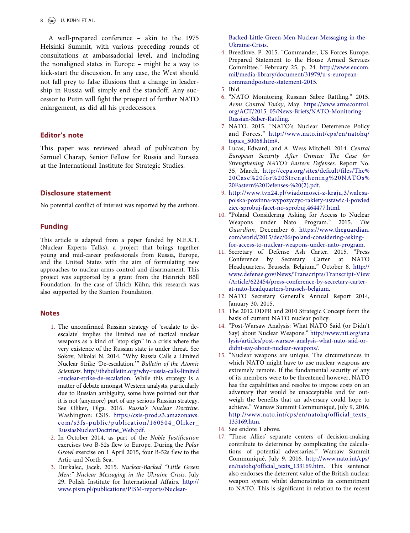$8 \quad \circledast$  U. KÜHN ET AL.

A well-prepared conference – akin to the 1975 Helsinki Summit, with various preceding rounds of consultations at ambassadorial level, and including the nonaligned states in Europe – might be a way to kick-start the discussion. In any case, the West should not fall prey to false illusions that a change in leadership in Russia will simply end the standoff. Any successor to Putin will fight the prospect of further NATO enlargement, as did all his predecessors.

#### Editor's note

This paper was reviewed ahead of publication by Samuel Charap, Senior Fellow for Russia and Eurasia at the International Institute for Strategic Studies.

# Disclosure statement

No potential conflict of interest was reported by the authors.

#### Funding

This article is adapted from a paper funded by N.E.X.T. (Nuclear Experts Talks), a project that brings together young and mid-career professionals from Russia, Europe, and the United States with the aim of formulating new approaches to nuclear arms control and disarmament. This project was supported by a grant from the Heinrich Böll Foundation. In the case of Ulrich Kühn, this research was also supported by the Stanton Foundation.

#### **Notes**

- <span id="page-8-0"></span>1. The unconfirmed Russian strategy of 'escalate to deescalate' implies the limited use of tactical nuclear weapons as a kind of "stop sign" in a crisis where the very existence of the Russian state is under threat. See Sokov, Nikolai N. 2014. "Why Russia Calls a Limited Nuclear Strike 'De-escalation.'" Bulletin of the Atomic Scientists. [http://thebulletin.org/why-russia-calls-limited](http://thebulletin.org/why-russia-calls-limited-nuclear-strike-de-escalation) [-nuclear-strike-de-escalation](http://thebulletin.org/why-russia-calls-limited-nuclear-strike-de-escalation). While this strategy is a matter of debate amongst Western analysts, particularly due to Russian ambiguity, some have pointed out that it is not (anymore) part of any serious Russian strategy. See Oliker, Olga. 2016. Russia's Nuclear Doctrine. Washington: CSIS. [https://csis-prod.s3.amazonaws.](https://csis-prod.s3.amazonaws.com/s3fs-public/publication/160504_Oliker_RussiasNuclearDoctrine_Web.pdf) [com/s3fs-public/publication/160504\\_Oliker\\_](https://csis-prod.s3.amazonaws.com/s3fs-public/publication/160504_Oliker_RussiasNuclearDoctrine_Web.pdf) [RussiasNuclearDoctrine\\_Web.pdf.](https://csis-prod.s3.amazonaws.com/s3fs-public/publication/160504_Oliker_RussiasNuclearDoctrine_Web.pdf)
- <span id="page-8-1"></span>2. In October 2014, as part of the Noble Justification exercises two B-52s flew to Europe. During the Polar Growl exercise on 1 April 2015, four B-52s flew to the Artic and North Sea.
- <span id="page-8-2"></span>3. Durkalec, Jacek. 2015. Nuclear-Backed "Little Green Men:" Nuclear Messaging in the Ukraine Crisis. July 29. Polish Institute for International Affairs. [http://](http://www.pism.pl/publications/PISM-reports/Nuclear-Backed-Little-Green-Men-Nuclear-Messaging-in-the-Ukraine-Crisis) [www.pism.pl/publications/PISM-reports/Nuclear-](http://www.pism.pl/publications/PISM-reports/Nuclear-Backed-Little-Green-Men-Nuclear-Messaging-in-the-Ukraine-Crisis)

[Backed-Little-Green-Men-Nuclear-Messaging-in-the-](http://www.pism.pl/publications/PISM-reports/Nuclear-Backed-Little-Green-Men-Nuclear-Messaging-in-the-Ukraine-Crisis)[Ukraine-Crisis](http://www.pism.pl/publications/PISM-reports/Nuclear-Backed-Little-Green-Men-Nuclear-Messaging-in-the-Ukraine-Crisis).

<span id="page-8-3"></span>4. Breedlove, P. 2015. "Commander, US Forces Europe, Prepared Statement to the House Armed Services Committee." February 25. p. 24. [http://www.eucom.](http://www.eucom.mil/media-library/document/31979/u-s-european-commandposture-statement-2015) [mil/media-library/document/31979/u-s-european](http://www.eucom.mil/media-library/document/31979/u-s-european-commandposture-statement-2015)[commandposture-statement-2015.](http://www.eucom.mil/media-library/document/31979/u-s-european-commandposture-statement-2015)

- <span id="page-8-5"></span>6. "NATO Monitoring Russian Sabre Rattling." 2015. Arms Control Today, May. [https://www.armscontrol.](https://www.armscontrol.org/ACT/2015_05/News-Briefs/NATO-Monitoring-Russian-Saber-Rattling) [org/ACT/2015\\_05/News-Briefs/NATO-Monitoring-](https://www.armscontrol.org/ACT/2015_05/News-Briefs/NATO-Monitoring-Russian-Saber-Rattling)[Russian-Saber-Rattling](https://www.armscontrol.org/ACT/2015_05/News-Briefs/NATO-Monitoring-Russian-Saber-Rattling).
- <span id="page-8-6"></span>7. NATO. 2015. "NATO's Nuclear Deterrence Policy and Forces." [http://www.nato.int/cps/en/natohq/](http://www.nato.int/cps/en/natohq/topics_50068.htm#) [topics\\_50068.htm#.](http://www.nato.int/cps/en/natohq/topics_50068.htm#)
- <span id="page-8-7"></span>8. Lucas, Edward, and A. Wess Mitchell. 2014. Central European Security After Crimea: The Case for Strengthening NATO's Eastern Defenses. Report No. 35, March. [http://cepa.org/sites/default/files/The%](http://cepa.org/sites/default/files/The%20Case%20for%20Strengthening%20NATOs%20Eastern%20Defenses-%20(2).pdf) [20Case%20for%20Strengthening%20NATOs%](http://cepa.org/sites/default/files/The%20Case%20for%20Strengthening%20NATOs%20Eastern%20Defenses-%20(2).pdf) [20Eastern%20Defenses-%20\(2\).pdf.](http://cepa.org/sites/default/files/The%20Case%20for%20Strengthening%20NATOs%20Eastern%20Defenses-%20(2).pdf)
- <span id="page-8-8"></span>9. [http://www.tvn24.pl/wiadomosci-z-kraju,3/walesa](http://www.tvn24.pl/wiadomosci-z-kraju,3/walesa-polska-powinna-wypozyczyc-rakiety-ustawic-i-powiedziec-sprobuj-facet-no-sprobuj.464477.html)[polska-powinna-wypozyczyc-rakiety-ustawic-i-powied](http://www.tvn24.pl/wiadomosci-z-kraju,3/walesa-polska-powinna-wypozyczyc-rakiety-ustawic-i-powiedziec-sprobuj-facet-no-sprobuj.464477.html) [ziec-sprobuj-facet-no-sprobuj.464477.html](http://www.tvn24.pl/wiadomosci-z-kraju,3/walesa-polska-powinna-wypozyczyc-rakiety-ustawic-i-powiedziec-sprobuj-facet-no-sprobuj.464477.html).
- <span id="page-8-9"></span>10. "Poland Considering Asking for Access to Nuclear Weapons under Nato Program." 2015. The Guardian, December 6. [https://www.theguardian.](https://www.theguardian.com/world/2015/dec/06/poland-considering-asking-for-access-to-nuclear-weapons-under-nato-program) [com/world/2015/dec/06/poland-considering-asking](https://www.theguardian.com/world/2015/dec/06/poland-considering-asking-for-access-to-nuclear-weapons-under-nato-program)[for-access-to-nuclear-weapons-under-nato-program.](https://www.theguardian.com/world/2015/dec/06/poland-considering-asking-for-access-to-nuclear-weapons-under-nato-program)
- <span id="page-8-10"></span>11. Secretary of Defense Ash Carter. 2015. "Press Conference by Secretary Carter at NATO Headquarters, Brussels, Belgium." October 8. [http://](http://www.defense.gov/News/Transcripts/Transcript-View/Article/622454/press-conference-by-secretary-carter-at-nato-headquarters-brussels-belgium) [www.defense.gov/News/Transcripts/Transcript-View](http://www.defense.gov/News/Transcripts/Transcript-View/Article/622454/press-conference-by-secretary-carter-at-nato-headquarters-brussels-belgium) [/Article/622454/press-conference-by-secretary-carter](http://www.defense.gov/News/Transcripts/Transcript-View/Article/622454/press-conference-by-secretary-carter-at-nato-headquarters-brussels-belgium)[at-nato-headquarters-brussels-belgium.](http://www.defense.gov/News/Transcripts/Transcript-View/Article/622454/press-conference-by-secretary-carter-at-nato-headquarters-brussels-belgium)
- <span id="page-8-11"></span>12. NATO Secretary General's Annual Report 2014, January 30, 2015.
- <span id="page-8-12"></span>13. The 2012 DDPR and 2010 Strategic Concept form the basis of current NATO nuclear policy.
- <span id="page-8-13"></span>14. "Post-Warsaw Analysis: What NATO Said (or Didn't Say) about Nuclear Weapons." [http://www.nti.org/ana](http://www.nti.org/analysis/articles/post-warsaw-analysis-what-nato-said-or-didnt-say-about-nuclear-weapons/) [lysis/articles/post-warsaw-analysis-what-nato-said-or](http://www.nti.org/analysis/articles/post-warsaw-analysis-what-nato-said-or-didnt-say-about-nuclear-weapons/)[didnt-say-about-nuclear-weapons/.](http://www.nti.org/analysis/articles/post-warsaw-analysis-what-nato-said-or-didnt-say-about-nuclear-weapons/)
- <span id="page-8-14"></span>15. "Nuclear weapons are unique. The circumstances in which NATO might have to use nuclear weapons are extremely remote. If the fundamental security of any of its members were to be threatened however, NATO has the capabilities and resolve to impose costs on an adversary that would be unacceptable and far outweigh the benefits that an adversary could hope to achieve." Warsaw Summit Communiqué, July 9, 2016. [http://www.nato.int/cps/en/natohq/official\\_texts\\_](http://www.nato.int/cps/en/natohq/official_texts_133169.htm) [133169.htm](http://www.nato.int/cps/en/natohq/official_texts_133169.htm).
- <span id="page-8-15"></span>16. See endote 1 above.
- <span id="page-8-16"></span>17. "These Allies' separate centers of decision-making contribute to deterrence by complicating the calculations of potential adversaries." Warsaw Summit Communiqué, July 9, 2016. [http://www.nato.int/cps/](http://www.nato.int/cps/en/natohq/official_texts_133169.htm) [en/natohq/official\\_texts\\_133169.htm](http://www.nato.int/cps/en/natohq/official_texts_133169.htm). This sentence also endorses the deterrent value of the British nuclear weapon system whilst demonstrates its commitment to NATO. This is significant in relation to the recent

<span id="page-8-4"></span><sup>5.</sup> Ibid.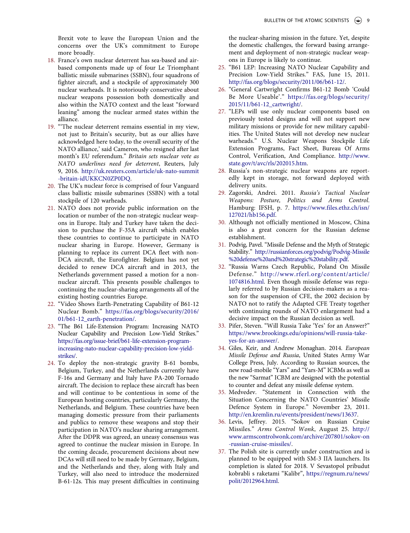Brexit vote to leave the European Union and the concerns over the UK's commitment to Europe more broadly.

- <span id="page-9-0"></span>18. France's own nuclear deterrent has sea-based and airbased components made up of four Le Triomphant ballistic missile submarines (SSBN), four squadrons of fighter aircraft, and a stockpile of approximately 300 nuclear warheads. It is notoriously conservative about nuclear weapons possession both domestically and also within the NATO context and the least "forward leaning" among the nuclear armed states within the alliance.
- <span id="page-9-1"></span>19. "'The nuclear deterrent remains essential in my view, not just to Britain's security, but as our allies have acknowledged here today, to the overall security of the NATO alliance,' said Cameron, who resigned after last month's EU referendum." Britain sets nuclear vote as NATO underlines need for deterrent, Reuters, July 9, 2016. [http://uk.reuters.com/article/uk-nato-summit](http://uk.reuters.com/article/uk-nato-summit-britain-idUKKCN0ZP0DQ) [-britain-idUKKCN0ZP0DQ.](http://uk.reuters.com/article/uk-nato-summit-britain-idUKKCN0ZP0DQ)
- <span id="page-9-2"></span>20. The UK's nuclear force is comprised of four Vanguard class ballistic missile submarines (SSBN) with a total stockpile of 120 warheads.
- <span id="page-9-3"></span>21. NATO does not provide public information on the location or number of the non-strategic nuclear weapons in Europe. Italy and Turkey have taken the decision to purchase the F-35A aircraft which enables these countries to continue to participate in NATO nuclear sharing in Europe. However, Germany is planning to replace its current DCA fleet with non-DCA aircraft, the Eurofighter. Belgium has not yet decided to renew DCA aircraft and in 2013, the Netherlands government passed a motion for a nonnuclear aircraft. This presents possible challenges to continuing the nuclear-sharing arrangements all of the existing hosting countries Europe.
- <span id="page-9-4"></span>22. "Video Shows Earth-Penetrating Capability of B61-12 Nuclear Bomb." [https://fas.org/blogs/security/2016/](https://fas.org/blogs/security/2016/01/b61-12_earth-penetration/) [01/b61-12\\_earth-penetration/](https://fas.org/blogs/security/2016/01/b61-12_earth-penetration/).
- <span id="page-9-5"></span>23. "The B61 Life-Extension Program: Increasing NATO Nuclear Capability and Precision Low-Yield Strikes." [https://fas.org/issue-brief/b61-life-extension-program](https://fas.org/issue-brief/b61-life-extension-program-increasing-nato-nuclear-capability-precision-low-yield-strikes/)[increasing-nato-nuclear-capability-precision-low-yield](https://fas.org/issue-brief/b61-life-extension-program-increasing-nato-nuclear-capability-precision-low-yield-strikes/)[strikes/.](https://fas.org/issue-brief/b61-life-extension-program-increasing-nato-nuclear-capability-precision-low-yield-strikes/)
- <span id="page-9-6"></span>24. To deploy the non-strategic gravity B-61 bombs, Belgium, Turkey, and the Netherlands currently have F-16s and Germany and Italy have PA-200 Tornado aircraft. The decision to replace these aircraft has been and will continue to be contentious in some of the European hosting countries, particularly Germany, the Netherlands, and Belgium. These countries have been managing domestic pressure from their parliaments and publics to remove these weapons and stop their participation in NATO's nuclear sharing arrangement. After the DDPR was agreed, an uneasy consensus was agreed to continue the nuclear mission in Europe. In the coming decade, procurement decisions about new DCAs will still need to be made by Germany, Belgium, and the Netherlands and they, along with Italy and Turkey, will also need to introduce the modernized B-61-12s. This may present difficulties in continuing

the nuclear-sharing mission in the future. Yet, despite the domestic challenges, the forward basing arrangement and deployment of non-strategic nuclear weapons in Europe is likely to continue.

- <span id="page-9-7"></span>25. "B61 LEP: Increasing NATO Nuclear Capability and Precision Low-Yield Strikes." FAS, June 15, 2011. <http://fas.org/blogs/security/2011/06/b61-12/>.
- <span id="page-9-8"></span>26. "General Cartwright Confirms B61-12 Bomb 'Could Be More Useable'." [https://fas.org/blogs/security/](https://fas.org/blogs/security/2015/11/b61-12_cartwright/) [2015/11/b61-12\\_cartwright/.](https://fas.org/blogs/security/2015/11/b61-12_cartwright/)
- <span id="page-9-9"></span>27. "LEPs will use only nuclear components based on previously tested designs and will not support new military missions or provide for new military capabilities. The United States will not develop new nuclear warheads." U.S. Nuclear Weapons Stockpile Life Extension Programs, Fact Sheet, Bureau Of Arms Control, Verification, And Compliance. [http://www.](http://www.state.gov/t/avc/rls/202015.htm) [state.gov/t/avc/rls/202015.htm](http://www.state.gov/t/avc/rls/202015.htm).
- <span id="page-9-10"></span>28. Russia's non-strategic nuclear weapons are reportedly kept in storage, not forward deployed with delivery units.
- <span id="page-9-11"></span>29. Zagorski, Andrei. 2011. Russia's Tactical Nuclear Weapons: Posture, Politics and Arms Control. Hamburg: IFSH, p. 7. [https://www.files.ethz.ch/isn/](https://www.files.ethz.ch/isn/127021/hb156.pdf) [127021/hb156.pdf](https://www.files.ethz.ch/isn/127021/hb156.pdf).
- <span id="page-9-12"></span>30. Although not officially mentioned in Moscow, China is also a great concern for the Russian defense establishment.
- <span id="page-9-13"></span>31. Podvig, Pavel. "Missile Defense and the Myth of Strategic Stability." [http://russianforces.org/podvig/Podvig-Missile](http://russianforces.org/podvig/Podvig-Missile%20defense%20and%20strategic%20stability.pdf) [%20defense%20and%20strategic%20stability.pdf.](http://russianforces.org/podvig/Podvig-Missile%20defense%20and%20strategic%20stability.pdf)
- <span id="page-9-14"></span>32. "Russia Warns Czech Republic, Poland On Missile Defense." [http://www.rferl.org/content/article/](http://www.rferl.org/content/article/1074816.html) [1074816.html](http://www.rferl.org/content/article/1074816.html). Even though missile defense was regularly referred to by Russian decision-makers as a reason for the suspension of CFE, the 2002 decision by NATO not to ratify the Adapted CFE Treaty together with continuing rounds of NATO enlargement had a decisive impact on the Russian decision as well.
- <span id="page-9-15"></span>33. Pifer, Steven. "Will Russia Take 'Yes' for an Answer?" [https://www.brookings.edu/opinions/will-russia-take](https://www.brookings.edu/opinions/will-russia-take-yes-for-an-answer/)[yes-for-an-answer/.](https://www.brookings.edu/opinions/will-russia-take-yes-for-an-answer/)
- <span id="page-9-16"></span>34. Giles, Keir, and Andrew Monaghan. 2014. European Missile Defense and Russia, United States Army War College Press, July. According to Russian sources, the new road-mobile "Yars" and "Yars-M" ICBMs as well as the new "Sarmat" ICBM are designed with the potential to counter and defeat any missile defense system.
- <span id="page-9-17"></span>35. Medvedev. "Statement in Connection with the Situation Concerning the NATO Countries' Missile Defence System in Europe." November 23, 2011. [http://en.kremlin.ru/events/president/news/13637.](http://en.kremlin.ru/events/president/news/13637)
- <span id="page-9-18"></span>36. Levis, Jeffrey. 2015. "Sokov on Russian Cruise Missiles." Arms Control Wonk, August 25. [http://](http://www.armscontrolwonk.com/archive/207801/sokov-on-russian-cruise-missiles/) [www.armscontrolwonk.com/archive/207801/sokov-on](http://www.armscontrolwonk.com/archive/207801/sokov-on-russian-cruise-missiles/) [-russian-cruise-missiles/](http://www.armscontrolwonk.com/archive/207801/sokov-on-russian-cruise-missiles/).
- <span id="page-9-19"></span>37. The Polish site is currently under construction and is planned to be equipped with SM-3 IIA launchers. Its completion is slated for 2018. V Sevastopol pribudut kobrabli s raketami "Kalibr", [https://regnum.ru/news/](https://regnum.ru/news/polit/2012964.html) [polit/2012964.html](https://regnum.ru/news/polit/2012964.html).